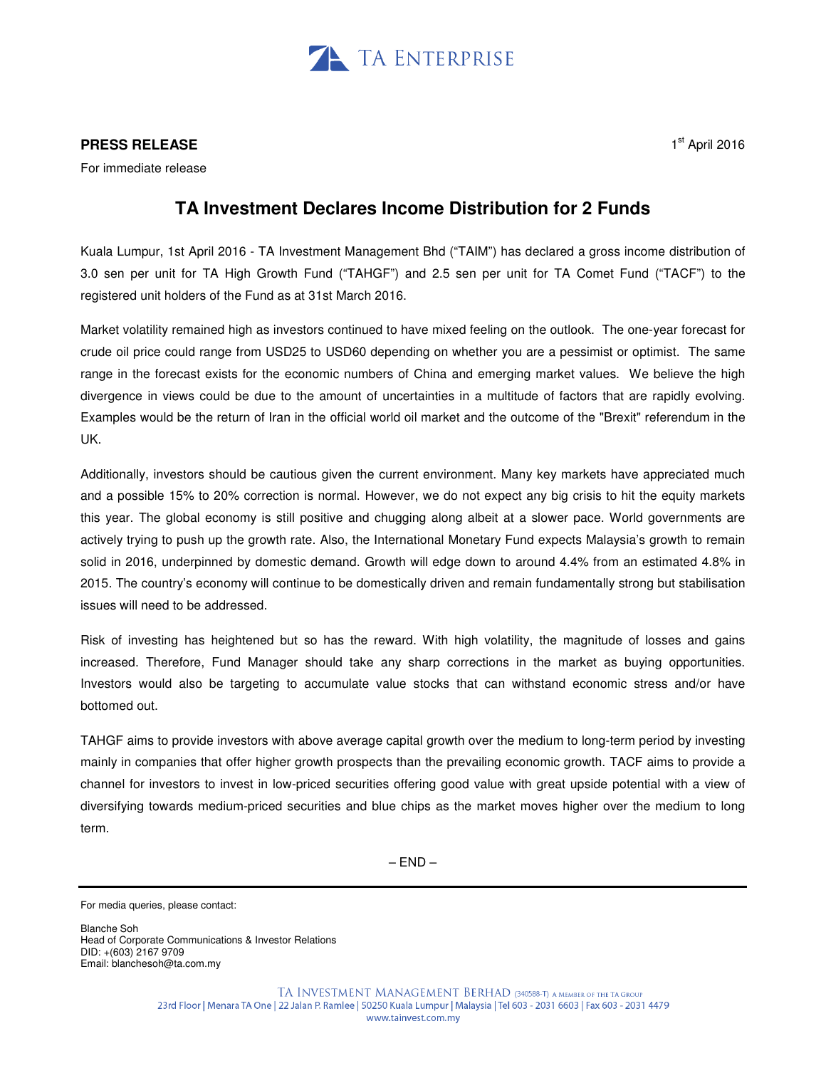

## **PRESS RELEASE**

For immediate release

## **TA Investment Declares Income Distribution for 2 Funds**

Kuala Lumpur, 1st April 2016 - TA Investment Management Bhd ("TAIM") has declared a gross income distribution of 3.0 sen per unit for TA High Growth Fund ("TAHGF") and 2.5 sen per unit for TA Comet Fund ("TACF") to the registered unit holders of the Fund as at 31st March 2016.

Market volatility remained high as investors continued to have mixed feeling on the outlook. The one-year forecast for crude oil price could range from USD25 to USD60 depending on whether you are a pessimist or optimist. The same range in the forecast exists for the economic numbers of China and emerging market values. We believe the high divergence in views could be due to the amount of uncertainties in a multitude of factors that are rapidly evolving. Examples would be the return of Iran in the official world oil market and the outcome of the "Brexit" referendum in the UK.

Additionally, investors should be cautious given the current environment. Many key markets have appreciated much and a possible 15% to 20% correction is normal. However, we do not expect any big crisis to hit the equity markets this year. The global economy is still positive and chugging along albeit at a slower pace. World governments are actively trying to push up the growth rate. Also, the International Monetary Fund expects Malaysia's growth to remain solid in 2016, underpinned by domestic demand. Growth will edge down to around 4.4% from an estimated 4.8% in 2015. The country's economy will continue to be domestically driven and remain fundamentally strong but stabilisation issues will need to be addressed.

Risk of investing has heightened but so has the reward. With high volatility, the magnitude of losses and gains increased. Therefore, Fund Manager should take any sharp corrections in the market as buying opportunities. Investors would also be targeting to accumulate value stocks that can withstand economic stress and/or have bottomed out.

TAHGF aims to provide investors with above average capital growth over the medium to long-term period by investing mainly in companies that offer higher growth prospects than the prevailing economic growth. TACF aims to provide a channel for investors to invest in low-priced securities offering good value with great upside potential with a view of diversifying towards medium-priced securities and blue chips as the market moves higher over the medium to long term.

 $-$  END $-$ 

Blanche Soh Head of Corporate Communications & Investor Relations DID: +(603) 2167 9709 Email: blanchesoh@ta.com.my

For media queries, please contact: